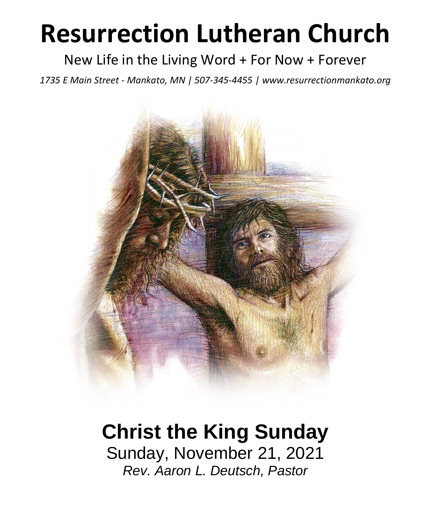# **Resurrection Lutheran Church**

### New Life in the Living Word + For Now + Forever

*1735 E Main Street - Mankato, MN | 507-345-4455 | [www.resurrectionmankato.org](http://www.resurrectionmankato.org/)*



# **Christ the King Sunday**

Sunday, November 21, 2021 *Rev. Aaron L. Deutsch, Pastor*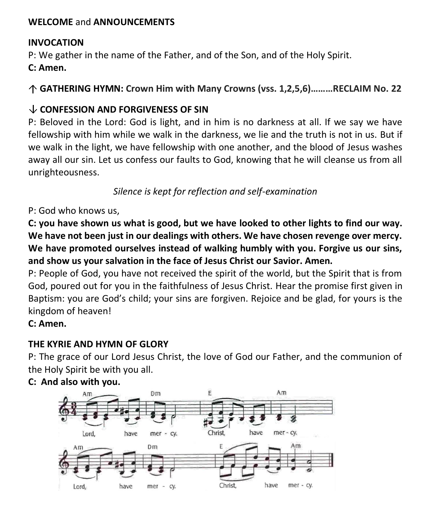#### **WELCOME** and **ANNOUNCEMENTS**

#### **INVOCATION**

P: We gather in the name of the Father, and of the Son, and of the Holy Spirit.

**C: Amen.**

**GATHERING HYMN: Crown Him with Many Crowns (vss. 1,2,5,6)………RECLAIM No. 22**

#### **CONFESSION AND FORGIVENESS OF SIN**

P: Beloved in the Lord: God is light, and in him is no darkness at all. If we say we have fellowship with him while we walk in the darkness, we lie and the truth is not in us. But if we walk in the light, we have fellowship with one another, and the blood of Jesus washes away all our sin. Let us confess our faults to God, knowing that he will cleanse us from all unrighteousness.

*Silence is kept for reflection and self-examination*

P: God who knows us,

**C: you have shown us what is good, but we have looked to other lights to find our way. We have not been just in our dealings with others. We have chosen revenge over mercy. We have promoted ourselves instead of walking humbly with you. Forgive us our sins, and show us your salvation in the face of Jesus Christ our Savior. Amen.**

P: People of God, you have not received the spirit of the world, but the Spirit that is from God, poured out for you in the faithfulness of Jesus Christ. Hear the promise first given in Baptism: you are God's child; your sins are forgiven. Rejoice and be glad, for yours is the kingdom of heaven!

**C: Amen.** 

#### **THE KYRIE AND HYMN OF GLORY**

P: The grace of our Lord Jesus Christ, the love of God our Father, and the communion of the Holy Spirit be with you all.



#### **C: And also with you.**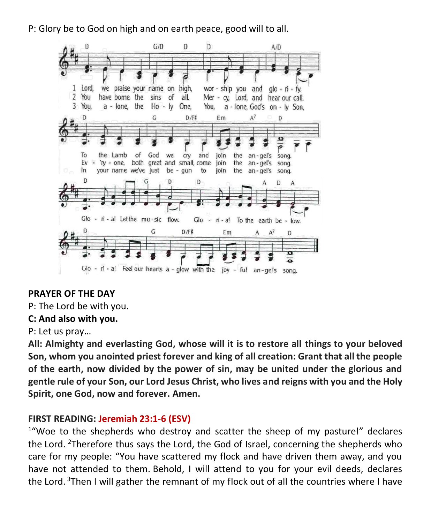P: Glory be to God on high and on earth peace, good will to all.



#### **PRAYER OF THE DAY**

P: The Lord be with you.

#### **C: And also with you.**

P: Let us pray…

**All: Almighty and everlasting God, whose will it is to restore all things to your beloved Son, whom you anointed priest forever and king of all creation: Grant that all the people of the earth, now divided by the power of sin, may be united under the glorious and gentle rule of your Son, our Lord Jesus Christ, who lives and reigns with you and the Holy Spirit, one God, now and forever. Amen.**

#### **FIRST READING: Jeremiah 23:1-6 (ESV)**

<sup>1</sup>"Woe to the shepherds who destroy and scatter the sheep of my pasture!" declares the Lord. <sup>2</sup>Therefore thus says the Lord, the God of Israel, concerning the shepherds who care for my people: "You have scattered my flock and have driven them away, and you have not attended to them. Behold, I will attend to you for your evil deeds, declares the Lord. <sup>3</sup>Then I will gather the remnant of my flock out of all the countries where I have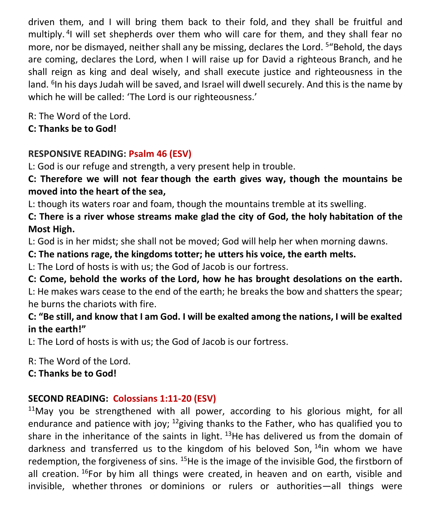driven them, and I will bring them back to their fold, and they shall be fruitful and multiply.<sup>4</sup>I will set shepherds over them who will care for them, and they shall fear no more, nor be dismayed, neither shall any be missing, declares the Lord. <sup>5</sup>"Behold, the days are coming, declares the Lord, when I will raise up for David a righteous Branch, and he shall reign as king and deal wisely, and shall execute justice and righteousness in the land. <sup>6</sup>In his days Judah will be saved, and Israel will dwell securely. And this is the name by which he will be called: 'The Lord is our righteousness.'

R: The Word of the Lord.

**C: Thanks be to God!** 

#### **RESPONSIVE READING: Psalm 46 (ESV)**

L: God is our refuge and strength, a very present help in trouble.

**C: Therefore we will not fear though the earth gives way, though the mountains be moved into the heart of the sea,**

L: though its waters roar and foam, though the mountains tremble at its swelling.

**C: There is a river whose streams make glad the city of God, the holy habitation of the Most High.**

L: God is in her midst; she shall not be moved; God will help her when morning dawns.

**C: The nations rage, the kingdoms totter; he utters his voice, the earth melts.**

L: The Lord of hosts is with us; the God of Jacob is our fortress.

**C: Come, behold the works of the Lord, how he has brought desolations on the earth.**

L: He makes wars cease to the end of the earth; he breaks the bow and shatters the spear; he burns the chariots with fire.

#### **C: "Be still, and know that I am God. I will be exalted among the nations, I will be exalted in the earth!"**

L: The Lord of hosts is with us; the God of Jacob is our fortress.

R: The Word of the Lord.

**C: Thanks be to God!** 

### **SECOND READING: Colossians 1:11-20 (ESV)**

 $11$ May you be strengthened with all power, according to his glorious might, for all endurance and patience with joy;  $^{12}$ giving thanks to the Father, who has qualified you to share in the inheritance of the saints in light.  $13$ He has delivered us from the domain of darkness and transferred us to the kingdom of his beloved Son,  $14$ in whom we have redemption, the forgiveness of sins. <sup>15</sup>He is the image of the invisible God, the firstborn of all creation.  $^{16}$ For by him all things were created, in heaven and on earth, visible and invisible, whether thrones or dominions or rulers or authorities—all things were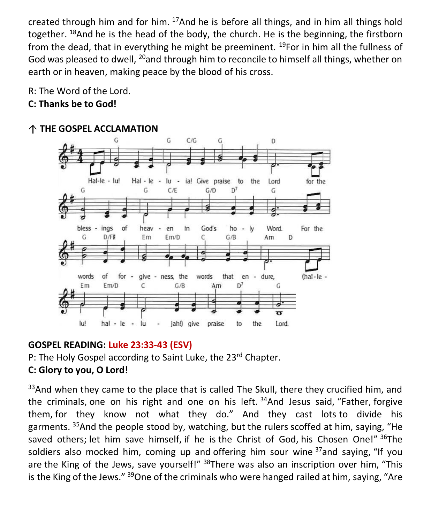created through him and for him.  $17$ And he is before all things, and in him all things hold together. <sup>18</sup>And he is the head of the body, the church. He is the beginning, the firstborn from the dead, that in everything he might be preeminent.  $19$ For in him all the fullness of God was pleased to dwell, <sup>20</sup>and through him to reconcile to himself all things, whether on earth or in heaven, making peace by the blood of his cross.

R: The Word of the Lord.

#### **C: Thanks be to God!**

#### G G  $C/G$ G D Hal-le - lu!  $Hal - le - lu$ ia! Give praise to the Lord for the G  $D<sup>7</sup>$ G  $C/E$  $G/D$ G of bless - ings heav God's  $ho - ly$ Word.  $\ddot{\phantom{0}}$ en in. For the G  $D/F#$ Em  $Em/D$ D C  $G/B$ Am give - ness, the words of for words that en - dure,  $(hal-le \overline{\phantom{a}}$  $D^7$ C Em  $Em/D$  $G/B$ Am  $\overline{\mathbf{r}}$ lu! hal - le - lu jah!) give the Lord.  $\overline{\phantom{a}}$ praise to

#### **THE GOSPEL ACCLAMATION**

#### **GOSPEL READING: Luke 23:33-43 (ESV)**

P: The Holy Gospel according to Saint Luke, the 23<sup>rd</sup> Chapter.

#### **C: Glory to you, O Lord!**

 $33$ And when they came to the place that is called The Skull, there they crucified him, and the criminals, one on his right and one on his left.  $34$ And Jesus said, "Father, forgive them, for they know not what they do." And they cast lots to divide his garments. <sup>35</sup>And the people stood by, watching, but the rulers scoffed at him, saying, "He saved others; let him save himself, if he is the Christ of God, his Chosen One!" 36The soldiers also mocked him, coming up and offering him sour wine  $37$  and saying, "If you are the King of the Jews, save yourself!" <sup>38</sup>There was also an inscription over him, "This is the King of the Jews."  $39$ One of the criminals who were hanged railed at him, saying, "Are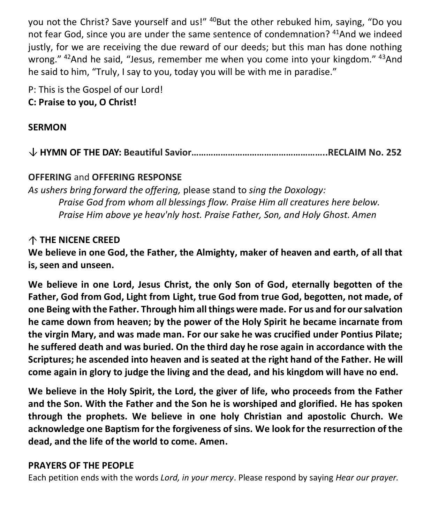you not the Christ? Save yourself and us!" <sup>40</sup>But the other rebuked him, saying, "Do you not fear God, since you are under the same sentence of condemnation? <sup>41</sup>And we indeed justly, for we are receiving the due reward of our deeds; but this man has done nothing wrong." <sup>42</sup>And he said, "Jesus, remember me when you come into your kingdom." <sup>43</sup>And he said to him, "Truly, I say to you, today you will be with me in paradise."

P: This is the Gospel of our Lord! **C: Praise to you, O Christ!** 

#### **SERMON**

**HYMN OF THE DAY: Beautiful Savior………………………………………………..RECLAIM No. 252**

#### **OFFERING** and **OFFERING RESPONSE**

*As ushers bring forward the offering,* please stand to *sing the Doxology: Praise God from whom all blessings flow. Praise Him all creatures here below. Praise Him above ye heav'nly host. Praise Father, Son, and Holy Ghost. Amen*

#### **THE NICENE CREED**

**We believe in one God, the Father, the Almighty, maker of heaven and earth, of all that is, seen and unseen.**

**We believe in one Lord, Jesus Christ, the only Son of God, eternally begotten of the Father, God from God, Light from Light, true God from true God, begotten, not made, of one Being with the Father. Through him all things were made. For us and for our salvation he came down from heaven; by the power of the Holy Spirit he became incarnate from the virgin Mary, and was made man. For our sake he was crucified under Pontius Pilate; he suffered death and was buried. On the third day he rose again in accordance with the Scriptures; he ascended into heaven and is seated at the right hand of the Father. He will come again in glory to judge the living and the dead, and his kingdom will have no end.**

**We believe in the Holy Spirit, the Lord, the giver of life, who proceeds from the Father and the Son. With the Father and the Son he is worshiped and glorified. He has spoken through the prophets. We believe in one holy Christian and apostolic Church. We acknowledge one Baptism for the forgiveness of sins. We look for the resurrection of the dead, and the life of the world to come. Amen.**

#### **PRAYERS OF THE PEOPLE**

Each petition ends with the words *Lord, in your mercy*. Please respond by saying *Hear our prayer.*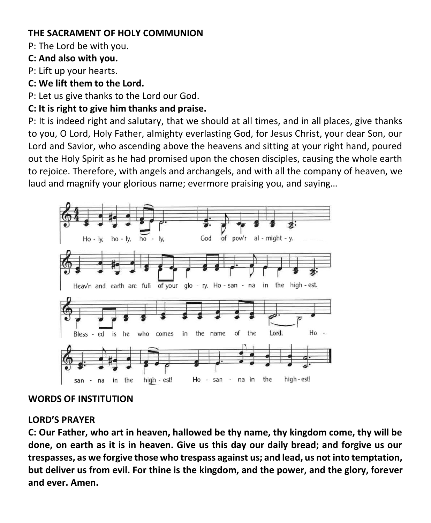#### **THE SACRAMENT OF HOLY COMMUNION**

P: The Lord be with you.

#### **C: And also with you.**

P: Lift up your hearts.

#### **C: We lift them to the Lord.**

P: Let us give thanks to the Lord our God.

#### **C: It is right to give him thanks and praise.**

P: It is indeed right and salutary, that we should at all times, and in all places, give thanks to you, O Lord, Holy Father, almighty everlasting God, for Jesus Christ, your dear Son, our Lord and Savior, who ascending above the heavens and sitting at your right hand, poured out the Holy Spirit as he had promised upon the chosen disciples, causing the whole earth to rejoice. Therefore, with angels and archangels, and with all the company of heaven, we laud and magnify your glorious name; evermore praising you, and saying…



#### **WORDS OF INSTITUTION**

#### **LORD'S PRAYER**

**C: Our Father, who art in heaven, hallowed be thy name, thy kingdom come, thy will be done, on earth as it is in heaven. Give us this day our daily bread; and forgive us our trespasses, as we forgive those who trespass against us; and lead, us not into temptation, but deliver us from evil. For thine is the kingdom, and the power, and the glory, forever and ever. Amen.**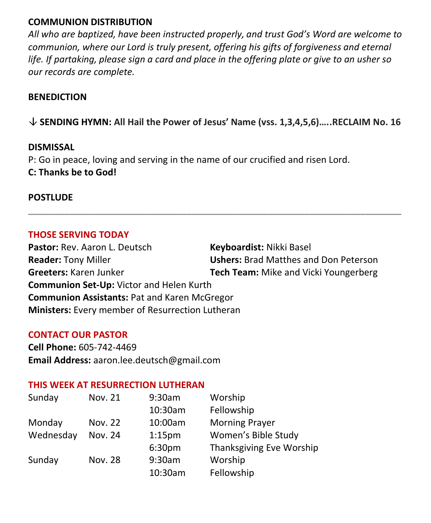#### **COMMUNION DISTRIBUTION**

*All who are baptized, have been instructed properly, and trust God's Word are welcome to communion, where our Lord is truly present, offering his gifts of forgiveness and eternal life. If partaking, please sign a card and place in the offering plate or give to an usher so our records are complete.*

#### **BENEDICTION**

**SENDING HYMN: All Hail the Power of Jesus' Name (vss. 1,3,4,5,6)…..RECLAIM No. 16**

**\_\_\_\_\_\_\_\_\_\_\_\_\_\_\_\_\_\_\_\_\_\_\_\_\_\_\_\_\_\_\_\_\_\_\_\_\_\_\_\_\_\_\_\_\_\_\_\_\_\_\_\_\_\_\_\_\_\_\_\_\_\_\_\_\_\_\_\_\_\_\_\_\_**

#### **DISMISSAL**

P: Go in peace, loving and serving in the name of our crucified and risen Lord. **C: Thanks be to God!**

#### **POSTLUDE**

#### **THOSE SERVING TODAY**

Pastor: Rev. Aaron L. Deutsch **Keyboardist:** Nikki Basel **Reader:** Tony Miller **Ushers:** Brad Matthes and Don Peterson **Greeters:** Karen Junker **Tech Team:** Mike and Vicki Youngerberg **Communion Set-Up:** Victor and Helen Kurth **Communion Assistants:** Pat and Karen McGregor **Ministers:** Every member of Resurrection Lutheran

#### **CONTACT OUR PASTOR**

**Cell Phone:** 605-742-4469 **Email Address:** [aaron.lee.deutsch@gmail.com](mailto:aaron.lee.deutsch@gmail.com)

#### **THIS WEEK AT RESURRECTION LUTHERAN**

| Sunday    | <b>Nov. 21</b> | 9:30am             | Worship                  |
|-----------|----------------|--------------------|--------------------------|
|           |                | 10:30am            | Fellowship               |
| Monday    | Nov. 22        | 10:00am            | <b>Morning Prayer</b>    |
| Wednesday | Nov. 24        | 1:15 <sub>pm</sub> | Women's Bible Study      |
|           |                | 6:30pm             | Thanksgiving Eve Worship |
| Sunday    | Nov. 28        | 9:30am             | Worship                  |
|           |                | 10:30am            | Fellowship               |